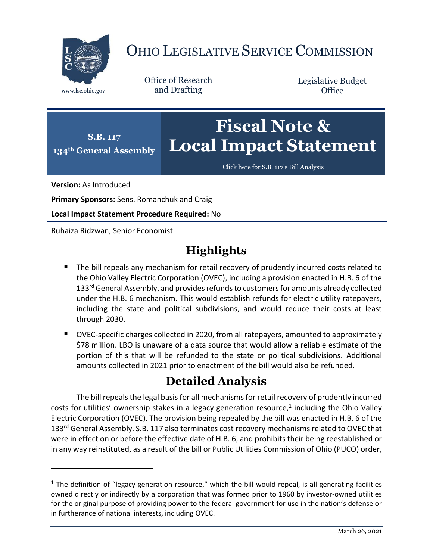

# OHIO LEGISLATIVE SERVICE COMMISSION

Office of Research www.lsc.ohio.gov and Drafting

Legislative Budget **Office** 



[Click here for S.B. 117](https://www.legislature.ohio.gov/legislation/legislation-documents?id=GA134-SB-117)'s Bill Analysis

**Version:** As Introduced

 $\overline{a}$ 

**Primary Sponsors:** Sens. Romanchuk and Craig

**Local Impact Statement Procedure Required:** No

Ruhaiza Ridzwan, Senior Economist

## **Highlights**

- The bill repeals any mechanism for retail recovery of prudently incurred costs related to the Ohio Valley Electric Corporation (OVEC), including a provision enacted in H.B. 6 of the 133<sup>rd</sup> General Assembly, and provides refunds to customers for amounts already collected under the H.B. 6 mechanism. This would establish refunds for electric utility ratepayers, including the state and political subdivisions, and would reduce their costs at least through 2030.
- OVEC-specific charges collected in 2020, from all ratepayers, amounted to approximately \$78 million. LBO is unaware of a data source that would allow a reliable estimate of the portion of this that will be refunded to the state or political subdivisions. Additional amounts collected in 2021 prior to enactment of the bill would also be refunded.

### **Detailed Analysis**

The bill repeals the legal basis for all mechanisms for retail recovery of prudently incurred costs for utilities' ownership stakes in a legacy generation resource,<sup>1</sup> including the Ohio Valley Electric Corporation (OVEC). The provision being repealed by the bill was enacted in H.B. 6 of the 133<sup>rd</sup> General Assembly. S.B. 117 also terminates cost recovery mechanisms related to OVEC that were in effect on or before the effective date of H.B. 6, and prohibits their being reestablished or in any way reinstituted, as a result of the bill or Public Utilities Commission of Ohio (PUCO) order,

 $1$  The definition of "legacy generation resource," which the bill would repeal, is all generating facilities owned directly or indirectly by a corporation that was formed prior to 1960 by investor-owned utilities for the original purpose of providing power to the federal government for use in the nation's defense or in furtherance of national interests, including OVEC.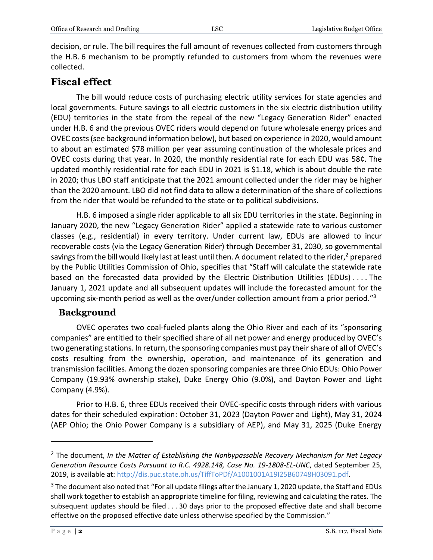decision, or rule. The bill requires the full amount of revenues collected from customers through the H.B. 6 mechanism to be promptly refunded to customers from whom the revenues were collected.

#### **Fiscal effect**

The bill would reduce costs of purchasing electric utility services for state agencies and local governments. Future savings to all electric customers in the six electric distribution utility (EDU) territories in the state from the repeal of the new "Legacy Generation Rider" enacted under H.B. 6 and the previous OVEC riders would depend on future wholesale energy prices and OVEC costs (see background information below), but based on experience in 2020, would amount to about an estimated \$78 million per year assuming continuation of the wholesale prices and OVEC costs during that year. In 2020, the monthly residential rate for each EDU was 58¢. The updated monthly residential rate for each EDU in 2021 is \$1.18, which is about double the rate in 2020; thus LBO staff anticipate that the 2021 amount collected under the rider may be higher than the 2020 amount. LBO did not find data to allow a determination of the share of collections from the rider that would be refunded to the state or to political subdivisions.

H.B. 6 imposed a single rider applicable to all six EDU territories in the state. Beginning in January 2020, the new "Legacy Generation Rider" applied a statewide rate to various customer classes (e.g., residential) in every territory. Under current law, EDUs are allowed to incur recoverable costs (via the Legacy Generation Rider) through December 31, 2030, so governmental savings from the bill would likely last at least until then. A document related to the rider,<sup>2</sup> prepared by the Public Utilities Commission of Ohio, specifies that "Staff will calculate the statewide rate based on the forecasted data provided by the Electric Distribution Utilities (EDUs) . . . . The January 1, 2021 update and all subsequent updates will include the forecasted amount for the upcoming six-month period as well as the over/under collection amount from a prior period."<sup>3</sup>

#### **Background**

OVEC operates two coal-fueled plants along the Ohio River and each of its "sponsoring companies" are entitled to their specified share of all net power and energy produced by OVEC's two generating stations. In return, the sponsoring companies must pay their share of all of OVEC's costs resulting from the ownership, operation, and maintenance of its generation and transmission facilities. Among the dozen sponsoring companies are three Ohio EDUs: Ohio Power Company (19.93% ownership stake), Duke Energy Ohio (9.0%), and Dayton Power and Light Company (4.9%).

Prior to H.B. 6, three EDUs received their OVEC-specific costs through riders with various dates for their scheduled expiration: October 31, 2023 (Dayton Power and Light), May 31, 2024 (AEP Ohio; the Ohio Power Company is a subsidiary of AEP), and May 31, 2025 (Duke Energy

 $\overline{a}$ 

<sup>2</sup> The document, *In the Matter of Establishing the Nonbypassable Recovery Mechanism for Net Legacy Generation Resource Costs Pursuant to R.C. 4928.148, Case No. 19-1808-EL-UNC*, dated September 25, 2019, is available at: [http://dis.puc.state.oh.us/TiffToPDf/A1001001A19I25B60748H03091.pdf.](http://dis.puc.state.oh.us/TiffToPDf/A1001001A19I25B60748H03091.pdf)

<sup>3</sup> The document also noted that "For all update filings after the January 1, 2020 update, the Staff and EDUs shall work together to establish an appropriate timeline for filing, reviewing and calculating the rates. The subsequent updates should be filed . . . 30 days prior to the proposed effective date and shall become effective on the proposed effective date unless otherwise specified by the Commission."